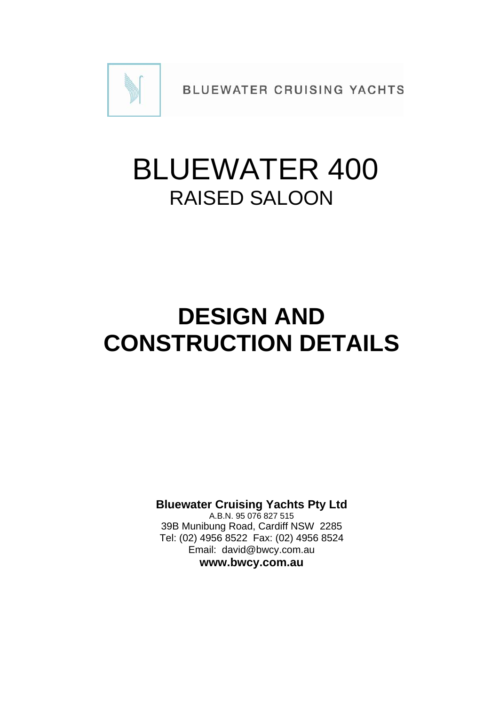

**BLUEWATER CRUISING YACHTS** 

# BLUEWATER 400 RAISED SALOON

### **DESIGN AND CONSTRUCTION DETAILS**

**Bluewater Cruising Yachts Pty Ltd** 

A.B.N. 95 076 827 515 39B Munibung Road, Cardiff NSW 2285 Tel: (02) 4956 8522 Fax: (02) 4956 8524 Email: david@bwcy.com.au **www.bwcy.com.au**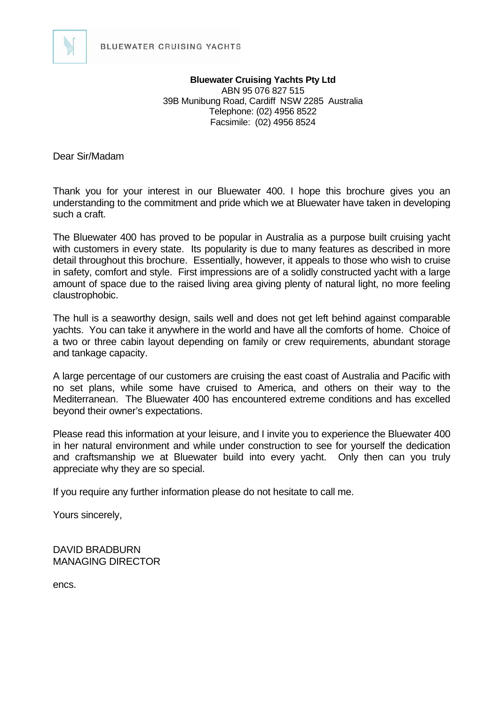

**Bluewater Cruising Yachts Pty Ltd** ABN 95 076 827 515 39B Munibung Road, Cardiff NSW 2285 Australia Telephone: (02) 4956 8522 Facsimile: (02) 4956 8524

Dear Sir/Madam

Thank you for your interest in our Bluewater 400. I hope this brochure gives you an understanding to the commitment and pride which we at Bluewater have taken in developing such a craft.

The Bluewater 400 has proved to be popular in Australia as a purpose built cruising yacht with customers in every state. Its popularity is due to many features as described in more detail throughout this brochure. Essentially, however, it appeals to those who wish to cruise in safety, comfort and style. First impressions are of a solidly constructed yacht with a large amount of space due to the raised living area giving plenty of natural light, no more feeling claustrophobic.

The hull is a seaworthy design, sails well and does not get left behind against comparable yachts. You can take it anywhere in the world and have all the comforts of home. Choice of a two or three cabin layout depending on family or crew requirements, abundant storage and tankage capacity.

A large percentage of our customers are cruising the east coast of Australia and Pacific with no set plans, while some have cruised to America, and others on their way to the Mediterranean. The Bluewater 400 has encountered extreme conditions and has excelled beyond their owner's expectations.

Please read this information at your leisure, and I invite you to experience the Bluewater 400 in her natural environment and while under construction to see for yourself the dedication and craftsmanship we at Bluewater build into every yacht. Only then can you truly appreciate why they are so special.

If you require any further information please do not hesitate to call me.

Yours sincerely,

DAVID BRADBURN MANAGING DIRECTOR

encs.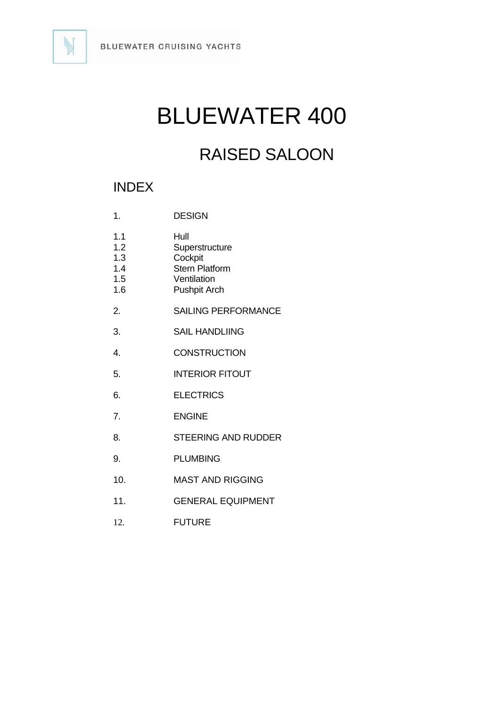

## BLUEWATER 400

### RAISED SALOON

### INDEX

| 1.                                     | <b>DESIGN</b>                                                                                    |
|----------------------------------------|--------------------------------------------------------------------------------------------------|
| 1.1<br>1.2<br>1.3<br>1.4<br>1.5<br>1.6 | Hull<br>Superstructure<br>Cockpit<br><b>Stern Platform</b><br>Ventilation<br><b>Pushpit Arch</b> |
| 2.                                     | <b>SAILING PERFORMANCE</b>                                                                       |
| 3.                                     | <b>SAIL HANDLIING</b>                                                                            |
| $\overline{4}$                         | <b>CONSTRUCTION</b>                                                                              |
| 5.                                     | <b>INTERIOR FITOUT</b>                                                                           |
| 6.                                     | <b>ELECTRICS</b>                                                                                 |
| 7.                                     | <b>ENGINE</b>                                                                                    |
| 8.                                     | <b>STEERING AND RUDDER</b>                                                                       |
| 9.                                     | <b>PLUMBING</b>                                                                                  |
| 10.                                    | <b>MAST AND RIGGING</b>                                                                          |
| 11.                                    | <b>GENERAL EQUIPMENT</b>                                                                         |
| 12.                                    | <b>FUTURE</b>                                                                                    |

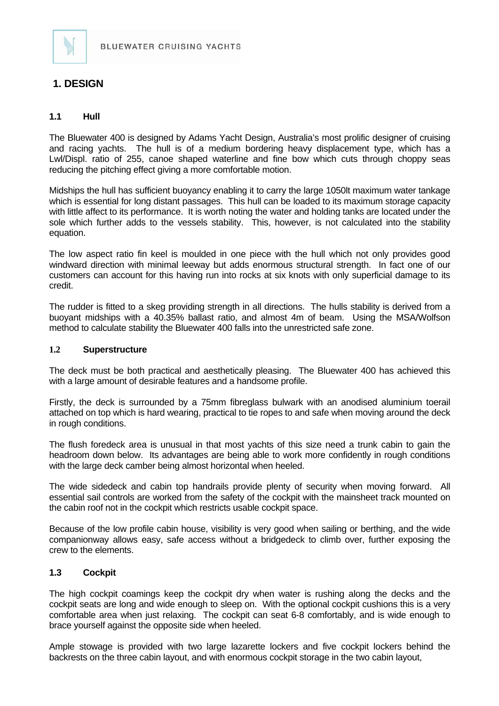

#### **1. DESIGN**

#### **1.1 Hull**

The Bluewater 400 is designed by Adams Yacht Design, Australia's most prolific designer of cruising and racing yachts. The hull is of a medium bordering heavy displacement type, which has a Lwl/Displ. ratio of 255, canoe shaped waterline and fine bow which cuts through choppy seas reducing the pitching effect giving a more comfortable motion.

Midships the hull has sufficient buoyancy enabling it to carry the large 1050lt maximum water tankage which is essential for long distant passages. This hull can be loaded to its maximum storage capacity with little affect to its performance. It is worth noting the water and holding tanks are located under the sole which further adds to the vessels stability. This, however, is not calculated into the stability equation.

The low aspect ratio fin keel is moulded in one piece with the hull which not only provides good windward direction with minimal leeway but adds enormous structural strength. In fact one of our customers can account for this having run into rocks at six knots with only superficial damage to its credit.

The rudder is fitted to a skeg providing strength in all directions. The hulls stability is derived from a buoyant midships with a 40.35% ballast ratio, and almost 4m of beam. Using the MSA/Wolfson method to calculate stability the Bluewater 400 falls into the unrestricted safe zone.

#### **1.2 Superstructure**

The deck must be both practical and aesthetically pleasing. The Bluewater 400 has achieved this with a large amount of desirable features and a handsome profile.

Firstly, the deck is surrounded by a 75mm fibreglass bulwark with an anodised aluminium toerail attached on top which is hard wearing, practical to tie ropes to and safe when moving around the deck in rough conditions.

The flush foredeck area is unusual in that most yachts of this size need a trunk cabin to gain the headroom down below. Its advantages are being able to work more confidently in rough conditions with the large deck camber being almost horizontal when heeled.

The wide sidedeck and cabin top handrails provide plenty of security when moving forward. All essential sail controls are worked from the safety of the cockpit with the mainsheet track mounted on the cabin roof not in the cockpit which restricts usable cockpit space.

Because of the low profile cabin house, visibility is very good when sailing or berthing, and the wide companionway allows easy, safe access without a bridgedeck to climb over, further exposing the crew to the elements.

#### **1.3 Cockpit**

The high cockpit coamings keep the cockpit dry when water is rushing along the decks and the cockpit seats are long and wide enough to sleep on. With the optional cockpit cushions this is a very comfortable area when just relaxing. The cockpit can seat 6-8 comfortably, and is wide enough to brace yourself against the opposite side when heeled.

Ample stowage is provided with two large lazarette lockers and five cockpit lockers behind the backrests on the three cabin layout, and with enormous cockpit storage in the two cabin layout,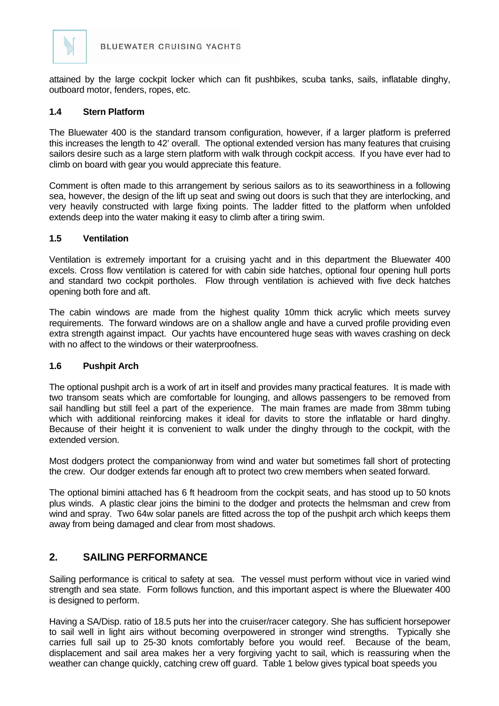

attained by the large cockpit locker which can fit pushbikes, scuba tanks, sails, inflatable dinghy, outboard motor, fenders, ropes, etc.

#### **1.4 Stern Platform**

The Bluewater 400 is the standard transom configuration, however, if a larger platform is preferred this increases the length to 42' overall. The optional extended version has many features that cruising sailors desire such as a large stern platform with walk through cockpit access. If you have ever had to climb on board with gear you would appreciate this feature.

Comment is often made to this arrangement by serious sailors as to its seaworthiness in a following sea, however, the design of the lift up seat and swing out doors is such that they are interlocking, and very heavily constructed with large fixing points. The ladder fitted to the platform when unfolded extends deep into the water making it easy to climb after a tiring swim.

#### **1.5 Ventilation**

Ventilation is extremely important for a cruising yacht and in this department the Bluewater 400 excels. Cross flow ventilation is catered for with cabin side hatches, optional four opening hull ports and standard two cockpit portholes. Flow through ventilation is achieved with five deck hatches opening both fore and aft.

The cabin windows are made from the highest quality 10mm thick acrylic which meets survey requirements. The forward windows are on a shallow angle and have a curved profile providing even extra strength against impact. Our yachts have encountered huge seas with waves crashing on deck with no affect to the windows or their waterproofness.

#### **1.6 Pushpit Arch**

The optional pushpit arch is a work of art in itself and provides many practical features. It is made with two transom seats which are comfortable for lounging, and allows passengers to be removed from sail handling but still feel a part of the experience. The main frames are made from 38mm tubing which with additional reinforcing makes it ideal for davits to store the inflatable or hard dinghy. Because of their height it is convenient to walk under the dinghy through to the cockpit, with the extended version.

Most dodgers protect the companionway from wind and water but sometimes fall short of protecting the crew. Our dodger extends far enough aft to protect two crew members when seated forward.

The optional bimini attached has 6 ft headroom from the cockpit seats, and has stood up to 50 knots plus winds. A plastic clear joins the bimini to the dodger and protects the helmsman and crew from wind and spray. Two 64w solar panels are fitted across the top of the pushpit arch which keeps them away from being damaged and clear from most shadows.

#### **2. SAILING PERFORMANCE**

Sailing performance is critical to safety at sea. The vessel must perform without vice in varied wind strength and sea state. Form follows function, and this important aspect is where the Bluewater 400 is designed to perform.

Having a SA/Disp. ratio of 18.5 puts her into the cruiser/racer category. She has sufficient horsepower to sail well in light airs without becoming overpowered in stronger wind strengths. Typically she carries full sail up to 25-30 knots comfortably before you would reef. Because of the beam, displacement and sail area makes her a very forgiving yacht to sail, which is reassuring when the weather can change quickly, catching crew off guard. Table 1 below gives typical boat speeds you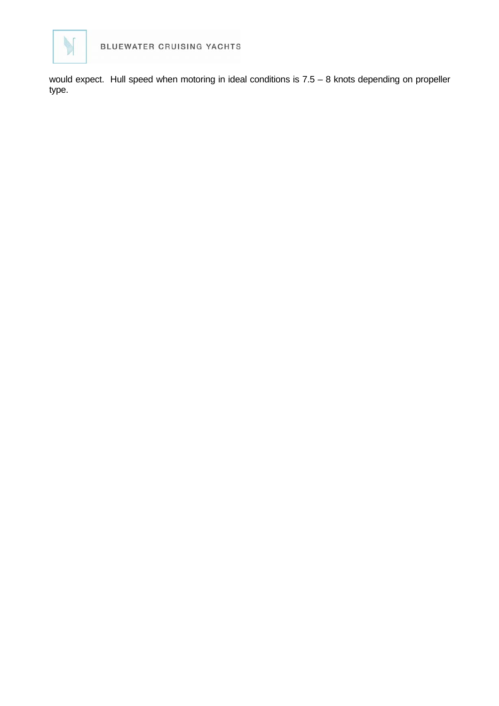

would expect. Hull speed when motoring in ideal conditions is 7.5 – 8 knots depending on propeller type.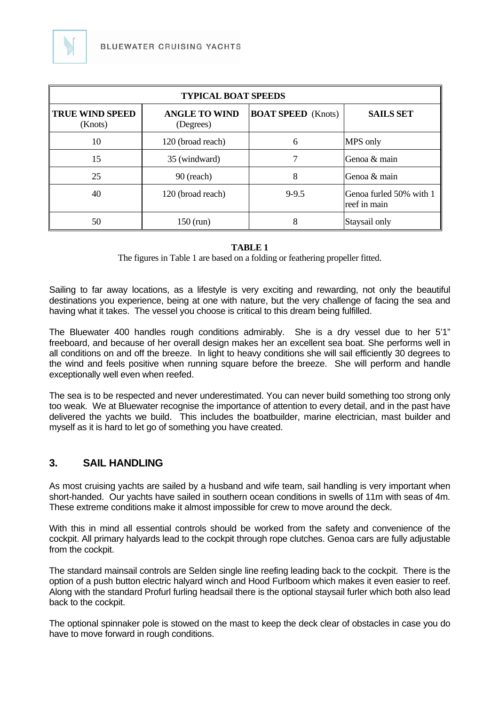

| <b>TYPICAL BOAT SPEEDS</b>        |                                   |                           |                                         |  |  |
|-----------------------------------|-----------------------------------|---------------------------|-----------------------------------------|--|--|
| <b>TRUE WIND SPEED</b><br>(Knots) | <b>ANGLE TO WIND</b><br>(Degrees) | <b>BOAT SPEED</b> (Knots) | <b>SAILS SET</b>                        |  |  |
| 10                                | 120 (broad reach)                 | 6                         | MPS only                                |  |  |
| 15                                | 35 (windward)                     |                           | Genoa & main                            |  |  |
| 25                                | $90$ (reach)                      | 8                         | Genoa & main                            |  |  |
| 40                                | 120 (broad reach)                 | $9 - 9.5$                 | Genoa furled 50% with 1<br>reef in main |  |  |
| 50                                | $150$ (run)                       | 8                         | Staysail only                           |  |  |

#### **TABLE 1**

The figures in Table 1 are based on a folding or feathering propeller fitted.

Sailing to far away locations, as a lifestyle is very exciting and rewarding, not only the beautiful destinations you experience, being at one with nature, but the very challenge of facing the sea and having what it takes. The vessel you choose is critical to this dream being fulfilled.

The Bluewater 400 handles rough conditions admirably. She is a dry vessel due to her 5'1" freeboard, and because of her overall design makes her an excellent sea boat. She performs well in all conditions on and off the breeze. In light to heavy conditions she will sail efficiently 30 degrees to the wind and feels positive when running square before the breeze. She will perform and handle exceptionally well even when reefed.

The sea is to be respected and never underestimated. You can never build something too strong only too weak. We at Bluewater recognise the importance of attention to every detail, and in the past have delivered the yachts we build. This includes the boatbuilder, marine electrician, mast builder and myself as it is hard to let go of something you have created.

#### **3. SAIL HANDLING**

As most cruising yachts are sailed by a husband and wife team, sail handling is very important when short-handed. Our yachts have sailed in southern ocean conditions in swells of 11m with seas of 4m. These extreme conditions make it almost impossible for crew to move around the deck.

With this in mind all essential controls should be worked from the safety and convenience of the cockpit. All primary halyards lead to the cockpit through rope clutches. Genoa cars are fully adjustable from the cockpit.

The standard mainsail controls are Selden single line reefing leading back to the cockpit. There is the option of a push button electric halyard winch and Hood Furlboom which makes it even easier to reef. Along with the standard Profurl furling headsail there is the optional staysail furler which both also lead back to the cockpit.

The optional spinnaker pole is stowed on the mast to keep the deck clear of obstacles in case you do have to move forward in rough conditions.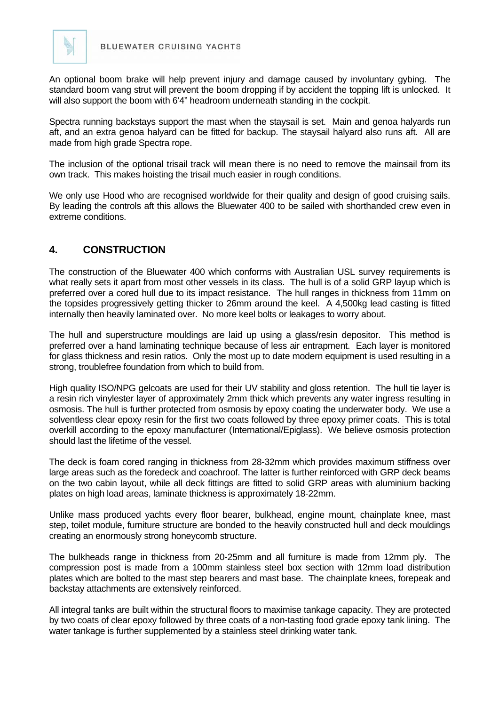

An optional boom brake will help prevent injury and damage caused by involuntary gybing. The standard boom vang strut will prevent the boom dropping if by accident the topping lift is unlocked. It will also support the boom with 6'4" headroom underneath standing in the cockpit.

Spectra running backstays support the mast when the staysail is set. Main and genoa halyards run aft, and an extra genoa halyard can be fitted for backup. The staysail halyard also runs aft. All are made from high grade Spectra rope.

The inclusion of the optional trisail track will mean there is no need to remove the mainsail from its own track. This makes hoisting the trisail much easier in rough conditions.

We only use Hood who are recognised worldwide for their quality and design of good cruising sails. By leading the controls aft this allows the Bluewater 400 to be sailed with shorthanded crew even in extreme conditions.

#### **4. CONSTRUCTION**

The construction of the Bluewater 400 which conforms with Australian USL survey requirements is what really sets it apart from most other vessels in its class. The hull is of a solid GRP layup which is preferred over a cored hull due to its impact resistance. The hull ranges in thickness from 11mm on the topsides progressively getting thicker to 26mm around the keel. A 4,500kg lead casting is fitted internally then heavily laminated over. No more keel bolts or leakages to worry about.

The hull and superstructure mouldings are laid up using a glass/resin depositor. This method is preferred over a hand laminating technique because of less air entrapment. Each layer is monitored for glass thickness and resin ratios. Only the most up to date modern equipment is used resulting in a strong, troublefree foundation from which to build from.

High quality ISO/NPG gelcoats are used for their UV stability and gloss retention. The hull tie layer is a resin rich vinylester layer of approximately 2mm thick which prevents any water ingress resulting in osmosis. The hull is further protected from osmosis by epoxy coating the underwater body. We use a solventless clear epoxy resin for the first two coats followed by three epoxy primer coats. This is total overkill according to the epoxy manufacturer (International/Epiglass). We believe osmosis protection should last the lifetime of the vessel.

The deck is foam cored ranging in thickness from 28-32mm which provides maximum stiffness over large areas such as the foredeck and coachroof. The latter is further reinforced with GRP deck beams on the two cabin layout, while all deck fittings are fitted to solid GRP areas with aluminium backing plates on high load areas, laminate thickness is approximately 18-22mm.

Unlike mass produced yachts every floor bearer, bulkhead, engine mount, chainplate knee, mast step, toilet module, furniture structure are bonded to the heavily constructed hull and deck mouldings creating an enormously strong honeycomb structure.

The bulkheads range in thickness from 20-25mm and all furniture is made from 12mm ply. The compression post is made from a 100mm stainless steel box section with 12mm load distribution plates which are bolted to the mast step bearers and mast base. The chainplate knees, forepeak and backstay attachments are extensively reinforced.

All integral tanks are built within the structural floors to maximise tankage capacity. They are protected by two coats of clear epoxy followed by three coats of a non-tasting food grade epoxy tank lining. The water tankage is further supplemented by a stainless steel drinking water tank.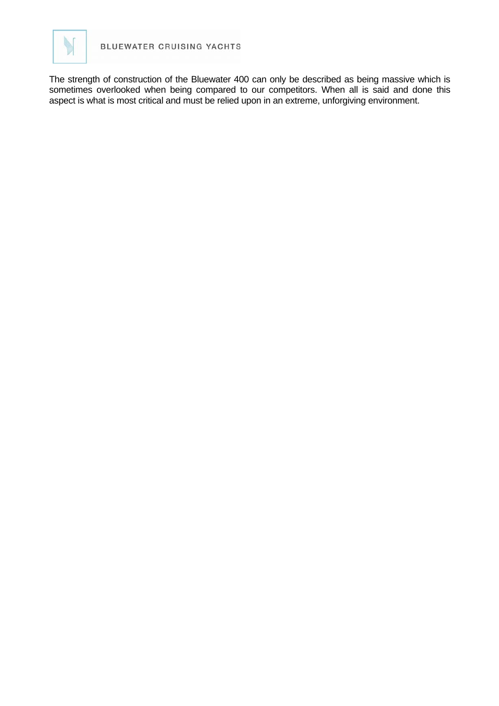

The strength of construction of the Bluewater 400 can only be described as being massive which is sometimes overlooked when being compared to our competitors. When all is said and done this aspect is what is most critical and must be relied upon in an extreme, unforgiving environment.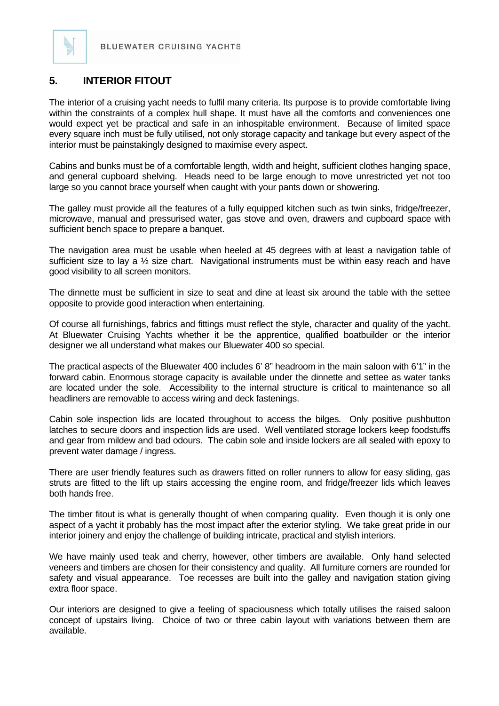

The interior of a cruising yacht needs to fulfil many criteria. Its purpose is to provide comfortable living within the constraints of a complex hull shape. It must have all the comforts and conveniences one would expect yet be practical and safe in an inhospitable environment. Because of limited space every square inch must be fully utilised, not only storage capacity and tankage but every aspect of the interior must be painstakingly designed to maximise every aspect.

Cabins and bunks must be of a comfortable length, width and height, sufficient clothes hanging space, and general cupboard shelving. Heads need to be large enough to move unrestricted yet not too large so you cannot brace yourself when caught with your pants down or showering.

The galley must provide all the features of a fully equipped kitchen such as twin sinks, fridge/freezer, microwave, manual and pressurised water, gas stove and oven, drawers and cupboard space with sufficient bench space to prepare a banquet.

The navigation area must be usable when heeled at 45 degrees with at least a navigation table of sufficient size to lay a  $\frac{1}{2}$  size chart. Navigational instruments must be within easy reach and have good visibility to all screen monitors.

The dinnette must be sufficient in size to seat and dine at least six around the table with the settee opposite to provide good interaction when entertaining.

Of course all furnishings, fabrics and fittings must reflect the style, character and quality of the yacht. At Bluewater Cruising Yachts whether it be the apprentice, qualified boatbuilder or the interior designer we all understand what makes our Bluewater 400 so special.

The practical aspects of the Bluewater 400 includes 6' 8" headroom in the main saloon with 6'1" in the forward cabin. Enormous storage capacity is available under the dinnette and settee as water tanks are located under the sole. Accessibility to the internal structure is critical to maintenance so all headliners are removable to access wiring and deck fastenings.

Cabin sole inspection lids are located throughout to access the bilges. Only positive pushbutton latches to secure doors and inspection lids are used. Well ventilated storage lockers keep foodstuffs and gear from mildew and bad odours. The cabin sole and inside lockers are all sealed with epoxy to prevent water damage / ingress.

There are user friendly features such as drawers fitted on roller runners to allow for easy sliding, gas struts are fitted to the lift up stairs accessing the engine room, and fridge/freezer lids which leaves both hands free.

The timber fitout is what is generally thought of when comparing quality. Even though it is only one aspect of a yacht it probably has the most impact after the exterior styling. We take great pride in our interior joinery and enjoy the challenge of building intricate, practical and stylish interiors.

We have mainly used teak and cherry, however, other timbers are available. Only hand selected veneers and timbers are chosen for their consistency and quality. All furniture corners are rounded for safety and visual appearance. Toe recesses are built into the galley and navigation station giving extra floor space.

Our interiors are designed to give a feeling of spaciousness which totally utilises the raised saloon concept of upstairs living. Choice of two or three cabin layout with variations between them are available.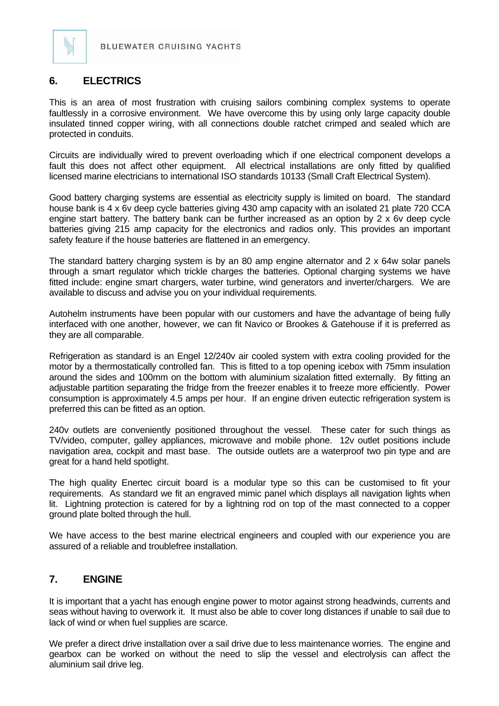

#### **6. ELECTRICS**

This is an area of most frustration with cruising sailors combining complex systems to operate faultlessly in a corrosive environment. We have overcome this by using only large capacity double insulated tinned copper wiring, with all connections double ratchet crimped and sealed which are protected in conduits.

Circuits are individually wired to prevent overloading which if one electrical component develops a fault this does not affect other equipment. All electrical installations are only fitted by qualified licensed marine electricians to international ISO standards 10133 (Small Craft Electrical System).

Good battery charging systems are essential as electricity supply is limited on board. The standard house bank is 4 x 6v deep cycle batteries giving 430 amp capacity with an isolated 21 plate 720 CCA engine start battery. The battery bank can be further increased as an option by 2 x 6v deep cycle batteries giving 215 amp capacity for the electronics and radios only. This provides an important safety feature if the house batteries are flattened in an emergency.

The standard battery charging system is by an 80 amp engine alternator and 2 x 64w solar panels through a smart regulator which trickle charges the batteries. Optional charging systems we have fitted include: engine smart chargers, water turbine, wind generators and inverter/chargers. We are available to discuss and advise you on your individual requirements.

Autohelm instruments have been popular with our customers and have the advantage of being fully interfaced with one another, however, we can fit Navico or Brookes & Gatehouse if it is preferred as they are all comparable.

Refrigeration as standard is an Engel 12/240v air cooled system with extra cooling provided for the motor by a thermostatically controlled fan. This is fitted to a top opening icebox with 75mm insulation around the sides and 100mm on the bottom with aluminium sizalation fitted externally. By fitting an adjustable partition separating the fridge from the freezer enables it to freeze more efficiently. Power consumption is approximately 4.5 amps per hour. If an engine driven eutectic refrigeration system is preferred this can be fitted as an option.

240v outlets are conveniently positioned throughout the vessel. These cater for such things as TV/video, computer, galley appliances, microwave and mobile phone. 12v outlet positions include navigation area, cockpit and mast base. The outside outlets are a waterproof two pin type and are great for a hand held spotlight.

The high quality Enertec circuit board is a modular type so this can be customised to fit your requirements. As standard we fit an engraved mimic panel which displays all navigation lights when lit. Lightning protection is catered for by a lightning rod on top of the mast connected to a copper ground plate bolted through the hull.

We have access to the best marine electrical engineers and coupled with our experience you are assured of a reliable and troublefree installation.

#### **7. ENGINE**

It is important that a yacht has enough engine power to motor against strong headwinds, currents and seas without having to overwork it. It must also be able to cover long distances if unable to sail due to lack of wind or when fuel supplies are scarce.

We prefer a direct drive installation over a sail drive due to less maintenance worries. The engine and gearbox can be worked on without the need to slip the vessel and electrolysis can affect the aluminium sail drive leg.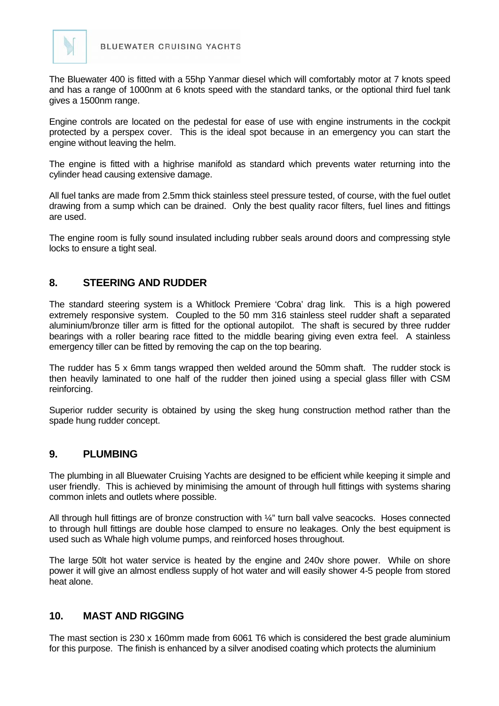

The Bluewater 400 is fitted with a 55hp Yanmar diesel which will comfortably motor at 7 knots speed and has a range of 1000nm at 6 knots speed with the standard tanks, or the optional third fuel tank gives a 1500nm range.

Engine controls are located on the pedestal for ease of use with engine instruments in the cockpit protected by a perspex cover. This is the ideal spot because in an emergency you can start the engine without leaving the helm.

The engine is fitted with a highrise manifold as standard which prevents water returning into the cylinder head causing extensive damage.

All fuel tanks are made from 2.5mm thick stainless steel pressure tested, of course, with the fuel outlet drawing from a sump which can be drained. Only the best quality racor filters, fuel lines and fittings are used.

The engine room is fully sound insulated including rubber seals around doors and compressing style locks to ensure a tight seal.

#### **8. STEERING AND RUDDER**

The standard steering system is a Whitlock Premiere 'Cobra' drag link. This is a high powered extremely responsive system. Coupled to the 50 mm 316 stainless steel rudder shaft a separated aluminium/bronze tiller arm is fitted for the optional autopilot. The shaft is secured by three rudder bearings with a roller bearing race fitted to the middle bearing giving even extra feel. A stainless emergency tiller can be fitted by removing the cap on the top bearing.

The rudder has 5 x 6mm tangs wrapped then welded around the 50mm shaft. The rudder stock is then heavily laminated to one half of the rudder then joined using a special glass filler with CSM reinforcing.

Superior rudder security is obtained by using the skeg hung construction method rather than the spade hung rudder concept.

#### **9. PLUMBING**

The plumbing in all Bluewater Cruising Yachts are designed to be efficient while keeping it simple and user friendly. This is achieved by minimising the amount of through hull fittings with systems sharing common inlets and outlets where possible.

All through hull fittings are of bronze construction with 1/4" turn ball valve seacocks. Hoses connected to through hull fittings are double hose clamped to ensure no leakages. Only the best equipment is used such as Whale high volume pumps, and reinforced hoses throughout.

The large 50lt hot water service is heated by the engine and 240v shore power. While on shore power it will give an almost endless supply of hot water and will easily shower 4-5 people from stored heat alone.

#### **10. MAST AND RIGGING**

The mast section is 230 x 160mm made from 6061 T6 which is considered the best grade aluminium for this purpose. The finish is enhanced by a silver anodised coating which protects the aluminium